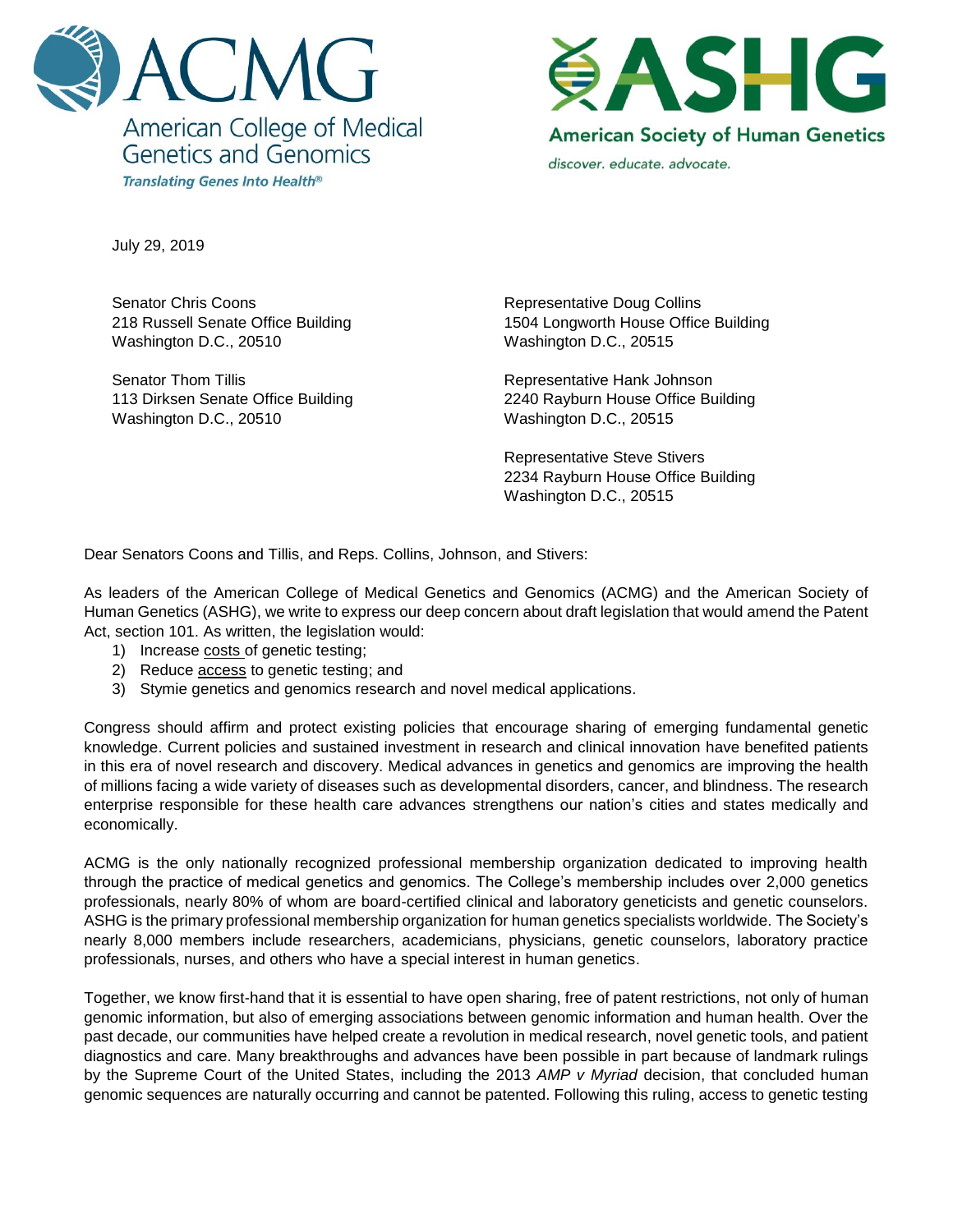



July 29, 2019

Senator Chris Coons 218 Russell Senate Office Building Washington D.C., 20510

Senator Thom Tillis 113 Dirksen Senate Office Building Washington D.C., 20510

Representative Doug Collins 1504 Longworth House Office Building Washington D.C., 20515

Representative Hank Johnson 2240 Rayburn House Office Building Washington D.C., 20515

Representative Steve Stivers 2234 Rayburn House Office Building Washington D.C., 20515

Dear Senators Coons and Tillis, and Reps. Collins, Johnson, and Stivers:

As leaders of the American College of Medical Genetics and Genomics (ACMG) and the American Society of Human Genetics (ASHG), we write to express our deep concern about draft legislation that would amend the Patent Act, section 101. As written, the legislation would:

- 1) Increase costs of genetic testing;
- 2) Reduce access to genetic testing; and
- 3) Stymie genetics and genomics research and novel medical applications.

Congress should affirm and protect existing policies that encourage sharing of emerging fundamental genetic knowledge. Current policies and sustained investment in research and clinical innovation have benefited patients in this era of novel research and discovery. Medical advances in genetics and genomics are improving the health of millions facing a wide variety of diseases such as developmental disorders, cancer, and blindness. The research enterprise responsible for these health care advances strengthens our nation's cities and states medically and economically.

ACMG is the only nationally recognized professional membership organization dedicated to improving health through the practice of medical genetics and genomics. The College's membership includes over 2,000 genetics professionals, nearly 80% of whom are board-certified clinical and laboratory geneticists and genetic counselors. ASHG is the primary professional membership organization for human genetics specialists worldwide. The Society's nearly 8,000 members include researchers, academicians, physicians, genetic counselors, laboratory practice professionals, nurses, and others who have a special interest in human genetics.

Together, we know first-hand that it is essential to have open sharing, free of patent restrictions, not only of human genomic information, but also of emerging associations between genomic information and human health. Over the past decade, our communities have helped create a revolution in medical research, novel genetic tools, and patient diagnostics and care. Many breakthroughs and advances have been possible in part because of landmark rulings by the Supreme Court of the United States, including the 2013 *AMP v Myriad* decision, that concluded human genomic sequences are naturally occurring and cannot be patented. Following this ruling, access to genetic testing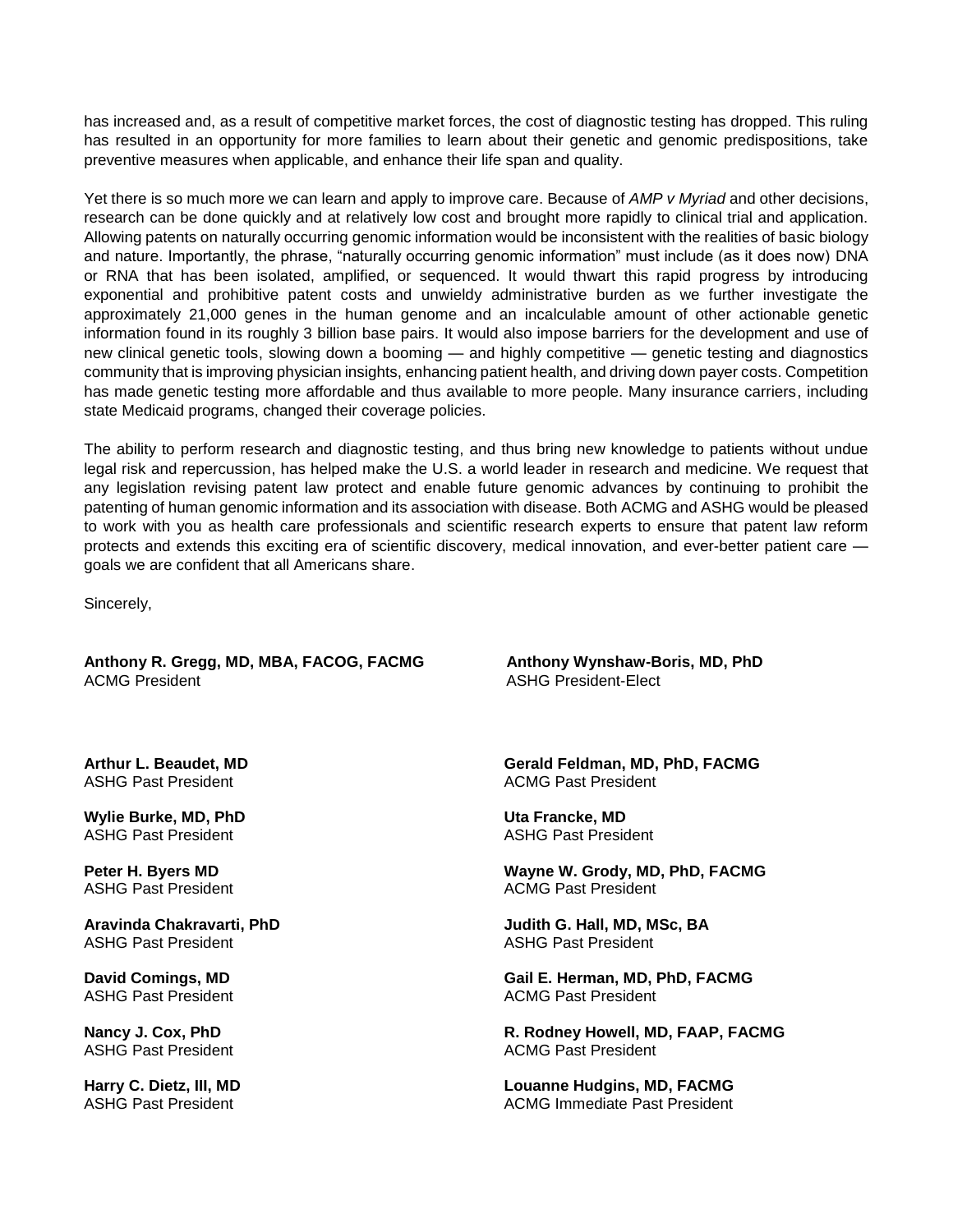has increased and, as a result of competitive market forces, the cost of diagnostic testing has dropped. This ruling has resulted in an opportunity for more families to learn about their genetic and genomic predispositions, take preventive measures when applicable, and enhance their life span and quality.

Yet there is so much more we can learn and apply to improve care. Because of *AMP v Myriad* and other decisions, research can be done quickly and at relatively low cost and brought more rapidly to clinical trial and application. Allowing patents on naturally occurring genomic information would be inconsistent with the realities of basic biology and nature. Importantly, the phrase, "naturally occurring genomic information" must include (as it does now) DNA or RNA that has been isolated, amplified, or sequenced. It would thwart this rapid progress by introducing exponential and prohibitive patent costs and unwieldy administrative burden as we further investigate the approximately 21,000 genes in the human genome and an incalculable amount of other actionable genetic information found in its roughly 3 billion base pairs. It would also impose barriers for the development and use of new clinical genetic tools, slowing down a booming — and highly competitive — genetic testing and diagnostics community that is improving physician insights, enhancing patient health, and driving down payer costs. Competition has made genetic testing more affordable and thus available to more people. Many insurance carriers, including state Medicaid programs, changed their coverage policies.

The ability to perform research and diagnostic testing, and thus bring new knowledge to patients without undue legal risk and repercussion, has helped make the U.S. a world leader in research and medicine. We request that any legislation revising patent law protect and enable future genomic advances by continuing to prohibit the patenting of human genomic information and its association with disease. Both ACMG and ASHG would be pleased to work with you as health care professionals and scientific research experts to ensure that patent law reform protects and extends this exciting era of scientific discovery, medical innovation, and ever-better patient care goals we are confident that all Americans share.

Sincerely,

**Anthony R. Gregg, MD, MBA, FACOG, FACMG Anthony Wynshaw-Boris, MD, PhD**  ACMG President **ASHG President-Flect** 

**Arthur L. Beaudet, MD** ASHG Past President

**Wylie Burke, MD, PhD** ASHG Past President

**Peter H. Byers MD** ASHG Past President

**Aravinda Chakravarti, PhD**  ASHG Past President

**David Comings, MD** ASHG Past President

**Nancy J. Cox, PhD** ASHG Past President

**Harry C. Dietz, III, MD** ASHG Past President

**Gerald Feldman, MD, PhD, FACMG** ACMG Past President

**Uta Francke, MD** ASHG Past President

**Wayne W. Grody, MD, PhD, FACMG** ACMG Past President

**Judith G. Hall, MD, MSc, BA** ASHG Past President

**Gail E. Herman, MD, PhD, FACMG** ACMG Past President

**R. Rodney Howell, MD, FAAP, FACMG** ACMG Past President

**Louanne Hudgins, MD, FACMG** ACMG Immediate Past President